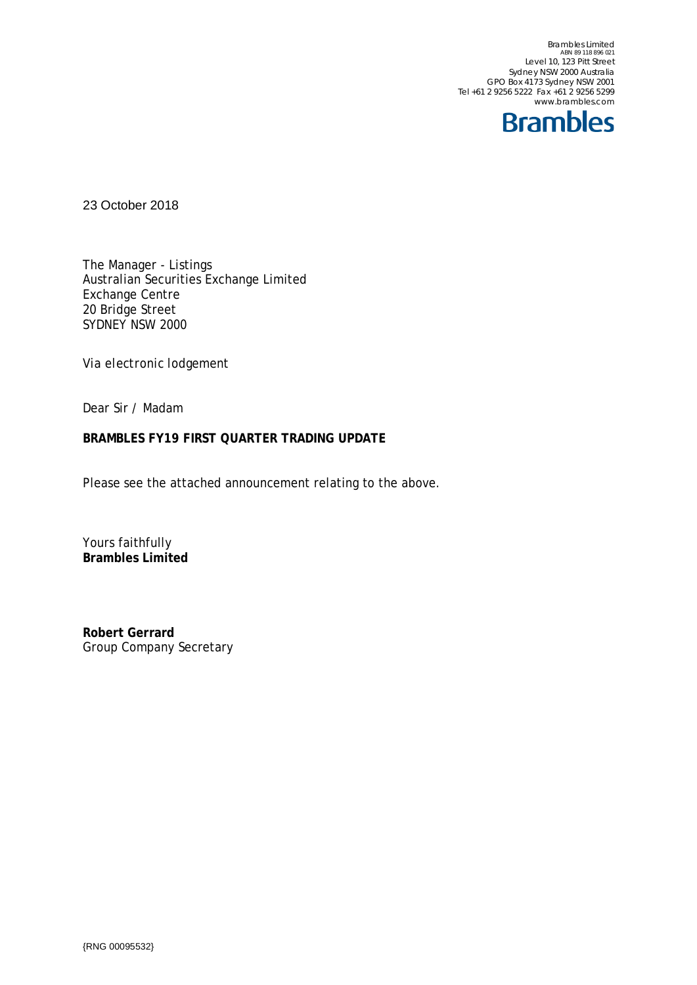Brambles Limited<br>ABN 89 118 896 021<br>Level 10, 123 Pitt Street Sydney NSW 2000 Australia GPO Box 4173 Sydney NSW 2001 Tel +61 2 9256 5222 Fax +61 2 9256 5299 www.brambles.com



23 October 2018

The Manager - Listings Australian Securities Exchange Limited Exchange Centre 20 Bridge Street SYDNEY NSW 2000

*Via electronic lodgement*

Dear Sir / Madam

## **BRAMBLES FY19 FIRST QUARTER TRADING UPDATE**

Please see the attached announcement relating to the above.

Yours faithfully **Brambles Limited**

**Robert Gerrard** Group Company Secretary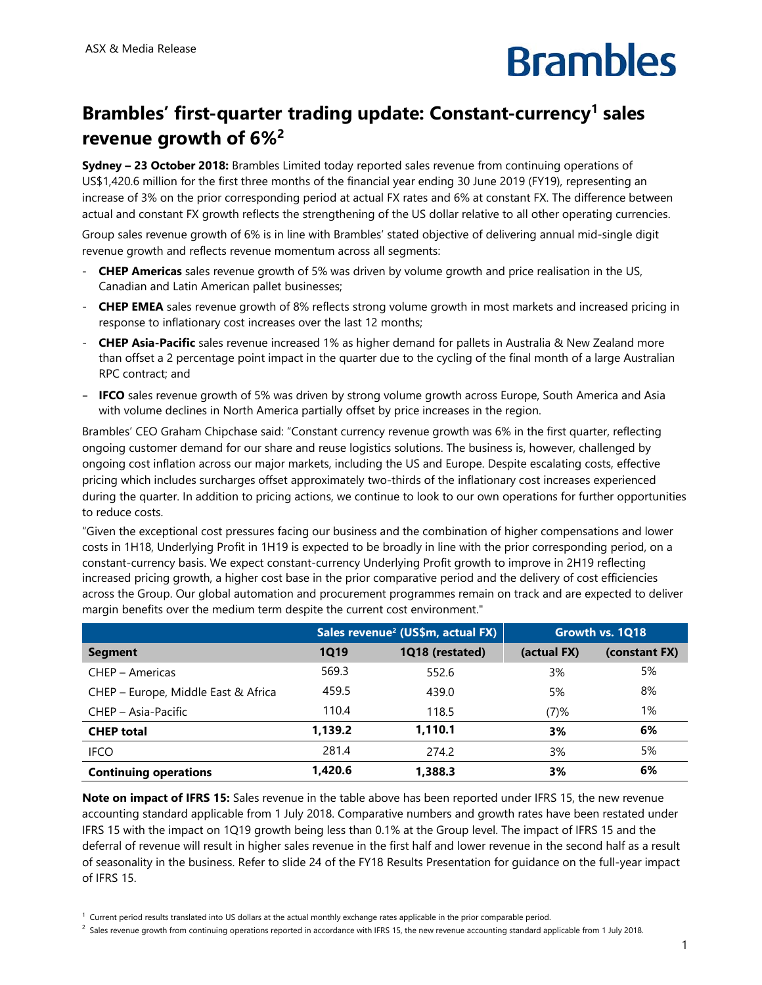

## **Brambles' first-quarter trading update: Constant-currency1 sales revenue growth of 6%2**

**Sydney – 23 October 2018:** Brambles Limited today reported sales revenue from continuing operations of US\$1,420.6 million for the first three months of the financial year ending 30 June 2019 (FY19), representing an increase of 3% on the prior corresponding period at actual FX rates and 6% at constant FX. The difference between actual and constant FX growth reflects the strengthening of the US dollar relative to all other operating currencies.

Group sales revenue growth of 6% is in line with Brambles' stated objective of delivering annual mid-single digit revenue growth and reflects revenue momentum across all segments:

- **CHEP Americas** sales revenue growth of 5% was driven by volume growth and price realisation in the US, Canadian and Latin American pallet businesses;
- **CHEP EMEA** sales revenue growth of 8% reflects strong volume growth in most markets and increased pricing in response to inflationary cost increases over the last 12 months;
- **CHEP Asia-Pacific** sales revenue increased 1% as higher demand for pallets in Australia & New Zealand more than offset a 2 percentage point impact in the quarter due to the cycling of the final month of a large Australian RPC contract; and
- **IFCO** sales revenue growth of 5% was driven by strong volume growth across Europe, South America and Asia with volume declines in North America partially offset by price increases in the region.

Brambles' CEO Graham Chipchase said: "Constant currency revenue growth was 6% in the first quarter, reflecting ongoing customer demand for our share and reuse logistics solutions. The business is, however, challenged by ongoing cost inflation across our major markets, including the US and Europe. Despite escalating costs, effective pricing which includes surcharges offset approximately two-thirds of the inflationary cost increases experienced during the quarter. In addition to pricing actions, we continue to look to our own operations for further opportunities to reduce costs.

"Given the exceptional cost pressures facing our business and the combination of higher compensations and lower costs in 1H18, Underlying Profit in 1H19 is expected to be broadly in line with the prior corresponding period, on a constant-currency basis. We expect constant-currency Underlying Profit growth to improve in 2H19 reflecting increased pricing growth, a higher cost base in the prior comparative period and the delivery of cost efficiencies across the Group. Our global automation and procurement programmes remain on track and are expected to deliver margin benefits over the medium term despite the current cost environment."

|                                     | Sales revenue <sup>2</sup> (US\$m, actual FX) |                 | Growth vs. 1Q18 |               |
|-------------------------------------|-----------------------------------------------|-----------------|-----------------|---------------|
| <b>Segment</b>                      | <b>1Q19</b>                                   | 1Q18 (restated) | (actual FX)     | (constant FX) |
| CHEP - Americas                     | 569.3                                         | 552.6           | 3%              | 5%            |
| CHEP - Europe, Middle East & Africa | 459.5                                         | 439.0           | 5%              | 8%            |
| CHEP - Asia-Pacific                 | 110.4                                         | 118.5           | (7)%            | 1%            |
| <b>CHEP total</b>                   | 1.139.2                                       | 1.110.1         | 3%              | 6%            |
| <b>IFCO</b>                         | 281.4                                         | 274.2           | 3%              | 5%            |
| <b>Continuing operations</b>        | 1.420.6                                       | 1,388.3         | 3%              | 6%            |

**Note on impact of IFRS 15:** Sales revenue in the table above has been reported under IFRS 15, the new revenue accounting standard applicable from 1 July 2018. Comparative numbers and growth rates have been restated under IFRS 15 with the impact on 1Q19 growth being less than 0.1% at the Group level. The impact of IFRS 15 and the deferral of revenue will result in higher sales revenue in the first half and lower revenue in the second half as a result of seasonality in the business. Refer to slide 24 of the FY18 Results Presentation for guidance on the full-year impact of IFRS 15.

 $1$  Current period results translated into US dollars at the actual monthly exchange rates applicable in the prior comparable period.

 $^2$  Sales revenue growth from continuing operations reported in accordance with IFRS 15, the new revenue accounting standard applicable from 1 July 2018.